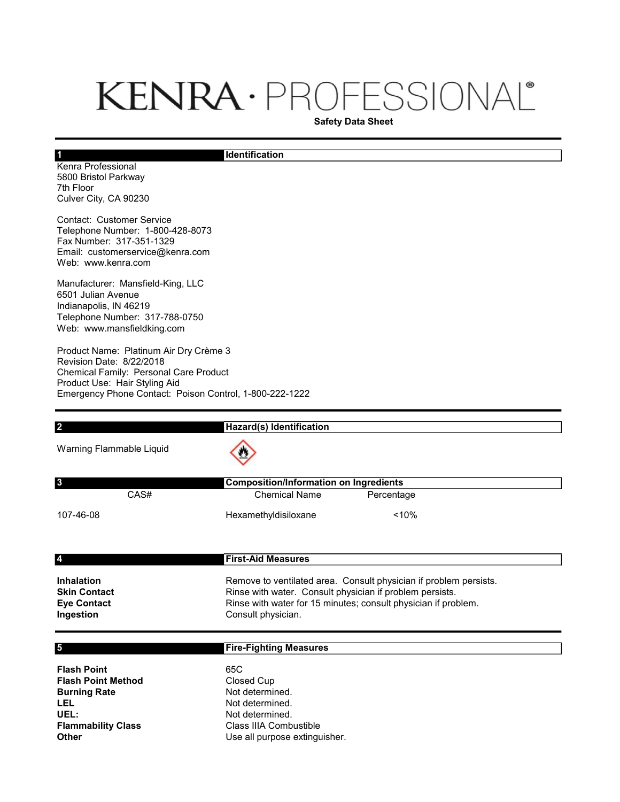# KENRA · PROFESSIONAL®

Safety Data Sheet

#### **Identification**

Kenra Professional 5800 Bristol Parkway 7th Floor Culver City, CA 90230

1

Contact: Customer Service Telephone Number: 1-800-428-8073 Fax Number: 317-351-1329 Email: customerservice@kenra.com Web: www.kenra.com

Manufacturer: Mansfield-King, LLC 6501 Julian Avenue Indianapolis, IN 46219 Telephone Number: 317-788-0750 Web: www.mansfieldking.com

Product Name: Platinum Air Dry Crème 3 Revision Date: 8/22/2018 Chemical Family: Personal Care Product Product Use: Hair Styling Aid Emergency Phone Contact: Poison Control, 1-800-222-1222

| $\overline{\mathbf{2}}$                                                                                                     | Hazard(s) Identification                                                                                                                                                                                              |
|-----------------------------------------------------------------------------------------------------------------------------|-----------------------------------------------------------------------------------------------------------------------------------------------------------------------------------------------------------------------|
| Warning Flammable Liquid                                                                                                    |                                                                                                                                                                                                                       |
| 3                                                                                                                           | <b>Composition/Information on Ingredients</b>                                                                                                                                                                         |
| CAS#                                                                                                                        | <b>Chemical Name</b><br>Percentage                                                                                                                                                                                    |
| 107-46-08                                                                                                                   | < 10%<br>Hexamethyldisiloxane                                                                                                                                                                                         |
| 4                                                                                                                           | <b>First-Aid Measures</b>                                                                                                                                                                                             |
| <b>Inhalation</b><br><b>Skin Contact</b><br><b>Eye Contact</b><br>Ingestion                                                 | Remove to ventilated area. Consult physician if problem persists.<br>Rinse with water. Consult physician if problem persists.<br>Rinse with water for 15 minutes; consult physician if problem.<br>Consult physician. |
| 5                                                                                                                           | <b>Fire-Fighting Measures</b>                                                                                                                                                                                         |
| <b>Flash Point</b><br><b>Flash Point Method</b><br><b>Burning Rate</b><br>LEL<br>UEL:<br><b>Flammability Class</b><br>Other | 65C<br><b>Closed Cup</b><br>Not determined.<br>Not determined.<br>Not determined.<br>Class IIIA Combustible<br>Use all purpose extinguisher.                                                                          |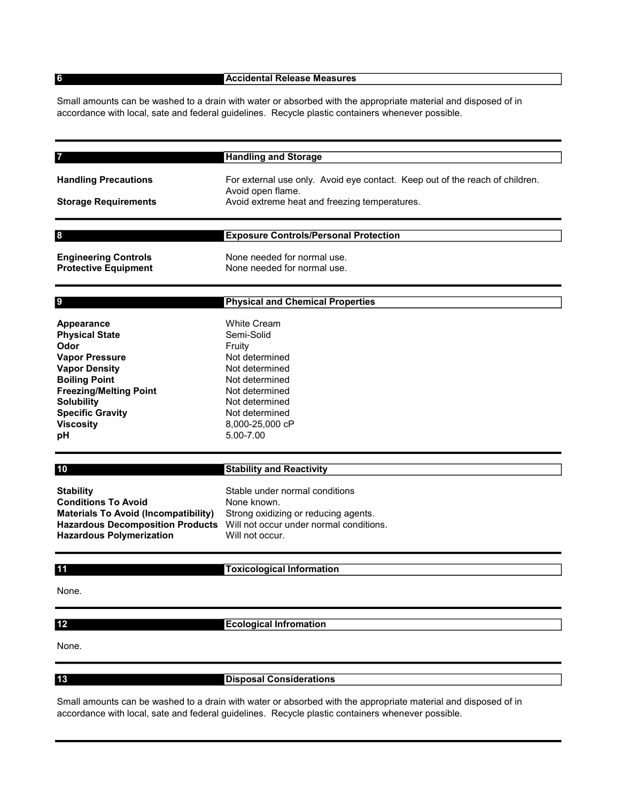6

#### Accidental Release Measures

Small amounts can be washed to a drain with water or absorbed with the appropriate material and disposed of in accordance with local, sate and federal guidelines. Recycle plastic containers whenever possible.

| 7                           | <b>Handling and Storage</b>                                                  |
|-----------------------------|------------------------------------------------------------------------------|
| <b>Handling Precautions</b> | For external use only. Avoid eye contact. Keep out of the reach of children. |
| <b>Storage Requirements</b> | Avoid open flame.<br>Avoid extreme heat and freezing temperatures.           |
|                             |                                                                              |
| 8                           | <b>Exposure Controls/Personal Protection</b>                                 |
| <b>Engineering Controls</b> | None needed for normal use.                                                  |
| <b>Protective Equipment</b> | None needed for normal use.                                                  |
| 9                           | <b>Physical and Chemical Properties</b>                                      |
|                             |                                                                              |
| Appearance                  | <b>White Cream</b>                                                           |
| <b>Physical State</b>       | Semi-Solid                                                                   |
| Odor                        | Fruity                                                                       |
| <b>Vapor Pressure</b>       | Not determined                                                               |
| <b>Vapor Density</b>        | Not determined                                                               |

Boiling Point Not determined Freezing/Melting Point Not determined Solubility Not determined Specific Gravity Not determined Viscosity 8,000-25,000 cP **pH** 5.00-7.00 10

#### Stability and Reactivity

Stability Stable under normal conditions Conditions To Avoid None known. Materials To Avoid (Incompatibility) Strong oxidizing or reducing agents. Hazardous Decomposition Products Will not occur under normal conditions. Hazardous Polymerization Will not occur.

#### 11

12

### Toxicological Information

#### None.

## Ecological Infromation

None.

13

Disposal Considerations

Small amounts can be washed to a drain with water or absorbed with the appropriate material and disposed of in accordance with local, sate and federal guidelines. Recycle plastic containers whenever possible.